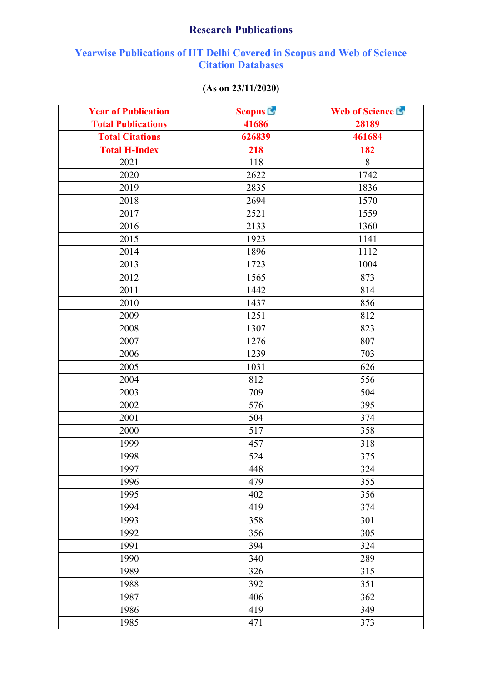## **Research Publications**

## **Yearwise Publications of IIT Delhi Covered in Scopus and Web of Science Citation Databases**

## **(As on 23/11/2020)**

| <b>Year of Publication</b> | <b>Scopus L</b> | Web of Science L |
|----------------------------|-----------------|------------------|
| <b>Total Publications</b>  | 41686           | 28189            |
| <b>Total Citations</b>     | 626839          | 461684           |
| <b>Total H-Index</b>       | 218             | 182              |
| 2021                       | 118             | 8                |
| 2020                       | 2622            | 1742             |
| 2019                       | 2835            | 1836             |
| 2018                       | 2694            | 1570             |
| 2017                       | 2521            | 1559             |
| 2016                       | 2133            | 1360             |
| 2015                       | 1923            | 1141             |
| 2014                       | 1896            | 1112             |
| 2013                       | 1723            | 1004             |
| 2012                       | 1565            | 873              |
| 2011                       | 1442            | 814              |
| 2010                       | 1437            | 856              |
| 2009                       | 1251            | 812              |
| 2008                       | 1307            | 823              |
| 2007                       | 1276            | 807              |
| 2006                       | 1239            | 703              |
| 2005                       | 1031            | 626              |
| 2004                       | 812             | 556              |
| 2003                       | 709             | 504              |
| 2002                       | 576             | 395              |
| 2001                       | 504             | 374              |
| 2000                       | 517             | 358              |
| 1999                       | 457             | 318              |
| 1998                       | 524             | 375              |
| 1997                       | 448             | 324              |
| 1996                       | 479             | 355              |
| 1995                       | 402             | 356              |
| 1994                       | 419             | 374              |
| 1993                       | 358             | 301              |
| 1992                       | 356             | 305              |
| 1991                       | 394             | 324              |
| 1990                       | 340             | 289              |
| 1989                       | 326             | 315              |
| 1988                       | 392             | 351              |
| 1987                       | 406             | 362              |
| 1986                       | 419             | 349              |
| 1985                       | 471             | 373              |